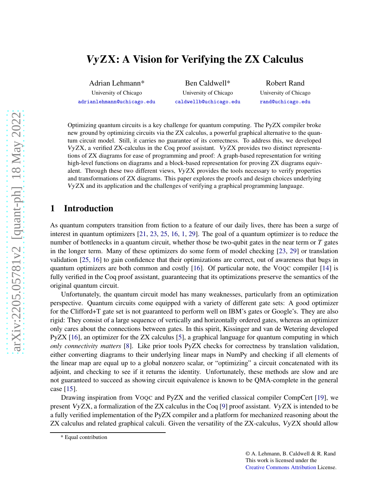# VyZX: A Vision for Verifying the ZX Calculus

Adrian Lehmann\*

University of Chicago [adrianlehmann@uchicago.edu](mailto:adrianlehmann@uchicago.edu)

Ben Caldwell\* University of Chicago [caldwellb@uchicago.edu](mailto:caldwellb@uchicago.edu)

Robert Rand University of Chicago [rand@uchicago.edu](mailto:rand@uchicago.edu)

Optimizing quantum circuits is a key challenge for quantum computing. The PyZX compiler broke new ground by optimizing circuits via the ZX calculus, a powerful graphical alternative to the quantum circuit model. Still, it carries no guarantee of its correctness. To address this, we developed VyZX, a verified ZX-calculus in the Coq proof assistant. VyZX provides two distinct representations of ZX diagrams for ease of programming and proof: A graph-based representation for writing high-level functions on diagrams and a block-based representation for proving ZX diagrams equivalent. Through these two different views, VyZX provides the tools necessary to verify properties and transformations of ZX diagrams. This paper explores the proofs and design choices underlying VyZX and its application and the challenges of verifying a graphical programming language.

## 1 Introduction

As quantum computers transition from fiction to a feature of our daily lives, there has been a surge of interest in quantum optimizers [\[21,](#page-13-0) [23,](#page-13-1) [25,](#page-13-2) [16,](#page-12-0) [1,](#page-12-1) [29\]](#page-13-3). The goal of a quantum optimizer is to reduce the number of bottlenecks in a quantum circuit, whether those be two-qubit gates in the near term or *T* gates in the longer term. Many of these optimizers do some form of model checking [\[23,](#page-13-1) [29\]](#page-13-3) or translation validation [\[25,](#page-13-2) [16\]](#page-12-0) to gain confidence that their optimizations are correct, out of awareness that bugs in quantum optimizers are both common and costly [\[16\]](#page-12-0). Of particular note, the VOQC compiler [\[14\]](#page-12-2) is fully verified in the Coq proof assistant, guaranteeing that its optimizations preserve the semantics of the original quantum circuit.

Unfortunately, the quantum circuit model has many weaknesses, particularly from an optimization perspective. Quantum circuits come equipped with a variety of different gate sets: A good optimizer for the Clifford+T gate set is not guaranteed to perform well on IBM's gates or Google's. They are also rigid: They consist of a large sequence of vertically and horizontally ordered gates, whereas an optimizer only cares about the connections between gates. In this spirit, Kissinger and van de Wetering developed PyZX [\[16\]](#page-12-0), an optimizer for the ZX calculus [\[5\]](#page-12-3), a graphical language for quantum computing in which *only connectivity matters* [\[8\]](#page-12-4). Like prior tools PyZX checks for correctness by translation validation, either converting diagrams to their underlying linear maps in NumPy and checking if all elements of the linear map are equal up to a global nonzero scalar, or "optimizing" a circuit concatenated with its adjoint, and checking to see if it returns the identity. Unfortunately, these methods are slow and are not guaranteed to succeed as showing circuit equivalence is known to be QMA-complete in the general case [\[15\]](#page-12-5).

Drawing inspiration from VOQC and PyZX and the verified classical compiler CompCert [\[19\]](#page-12-6), we present VyZX, a formalization of the ZX calculus in the Coq [\[9\]](#page-12-7) proof assistant. VyZX is intended to be a fully verified implementation of the PyZX compiler and a platform for mechanized reasoning about the ZX calculus and related graphical calculi. Given the versatility of the ZX-calculus, VyZX should allow

<sup>\*</sup> Equal contribution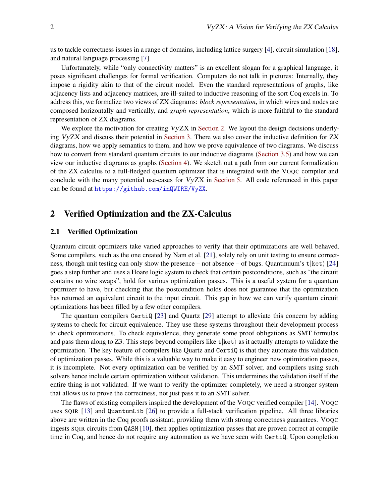us to tackle correctness issues in a range of domains, including lattice surgery [\[4\]](#page-12-8), circuit simulation [\[18\]](#page-12-9), and natural language processing [\[7\]](#page-12-10).

Unfortunately, while "only connectivity matters" is an excellent slogan for a graphical language, it poses significant challenges for formal verification. Computers do not talk in pictures: Internally, they impose a rigidity akin to that of the circuit model. Even the standard representations of graphs, like adjacency lists and adjacency matrices, are ill-suited to inductive reasoning of the sort Coq excels in. To address this, we formalize two views of ZX diagrams: *block representation*, in which wires and nodes are composed horizontally and vertically, and *graph representation*, which is more faithful to the standard representation of ZX diagrams.

We explore the motivation for creating VyZX in [Section 2.](#page-1-0) We layout the design decisions underlying VyZX and discuss their potential in [Section 3.](#page-3-0) There we also cover the inductive definition for ZX diagrams, how we apply semantics to them, and how we prove equivalence of two diagrams. We discuss how to convert from standard quantum circuits to our inductive diagrams [\(Section 3.5\)](#page-7-0) and how we can view our inductive diagrams as graphs [\(Section 4\)](#page-8-0). We sketch out a path from our current formalization of the ZX calculus to a full-fledged quantum optimizer that is integrated with the VOQC compiler and conclude with the many potential use-cases for VyZX in [Section 5.](#page-10-0) All code referenced in this paper can be found at <https://github.com/inQWIRE/VyZX>.

## <span id="page-1-0"></span>2 Verified Optimization and the ZX-Calculus

### 2.1 Verified Optimization

Quantum circuit optimizers take varied approaches to verify that their optimizations are well behaved. Some compilers, such as the one created by Nam et al. [\[21\]](#page-13-0), solely rely on unit testing to ensure correctness, though unit testing can only show the presence – not absence – of bugs. Quantinuum's  $t$  [ket] [\[24\]](#page-13-4) goes a step further and uses a Hoare logic system to check that certain postconditions, such as "the circuit contains no wire swaps", hold for various optimization passes. This is a useful system for a quantum optimizer to have, but checking that the postcondition holds does not guarantee that the optimization has returned an equivalent circuit to the input circuit. This gap in how we can verify quantum circuit optimizations has been filled by a few other compilers.

The quantum compilers CertiQ [\[23\]](#page-13-1) and Quartz [\[29\]](#page-13-3) attempt to alleviate this concern by adding systems to check for circuit equivalence. They use these systems throughout their development process to check optimizations. To check equivalence, they generate some proof obligations as SMT formulas and pass them along to Z3. This steps beyond compilers like  $t|ket$  as it actually attempts to validate the optimization. The key feature of compilers like Quartz and CertiQ is that they automate this validation of optimization passes. While this is a valuable way to make it easy to engineer new optimization passes, it is incomplete. Not every optimization can be verified by an SMT solver, and compilers using such solvers hence include certain optimization without validation. This undermines the validation itself if the entire thing is not validated. If we want to verify the optimizer completely, we need a stronger system that allows us to prove the correctness, not just pass it to an SMT solver.

The flaws of existing compilers inspired the development of the VOQC verified compiler [\[14\]](#page-12-2). VOQC uses SQIR [\[13\]](#page-12-11) and QuantumLib [\[26\]](#page-13-5) to provide a full-stack verification pipeline. All three libraries above are written in the Coq proofs assistant, providing them with strong correctness guarantees. VOQC ingests SQIR circuits from QASM [\[10\]](#page-12-12), then applies optimization passes that are proven correct at compile time in Coq, and hence do not require any automation as we have seen with CertiQ. Upon completion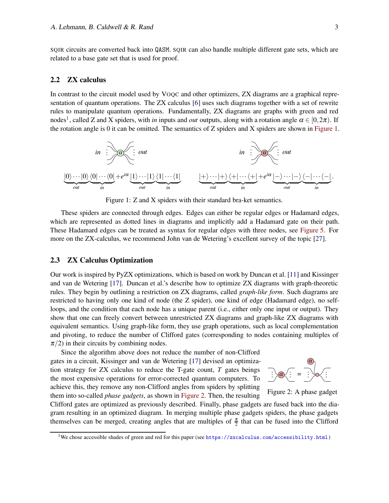SQIR circuits are converted back into QASM. SQIR can also handle multiple different gate sets, which are related to a base gate set that is used for proof.

### <span id="page-2-3"></span>2.2 ZX calculus

In contrast to the circuit model used by VOQC and other optimizers, ZX diagrams are a graphical representation of quantum operations. The ZX calculus [\[6\]](#page-12-13) uses such diagrams together with a set of rewrite rules to manipulate quantum operations. Fundamentally, ZX diagrams are graphs with green and red nodes<sup>[1](#page-2-0)</sup>, called Z and X spiders, with *in* inputs and *out* outputs, along with a rotation angle  $\alpha \in [0, 2\pi)$ . If the rotation angle is 0 it can be omitted. The semantics of Z spiders and X spiders are shown in [Figure 1.](#page-2-1)

<span id="page-2-1"></span>

Figure 1: Z and X spiders with their standard bra-ket semantics.

These spiders are connected through edges. Edges can either be regular edges or Hadamard edges, which are represented as dotted lines in diagrams and implicitly add a Hadamard gate on their path. These Hadamard edges can be treated as syntax for regular edges with three nodes, see [Figure 5.](#page-5-0) For more on the ZX-calculus, we recommend John van de Wetering's excellent survey of the topic [\[27\]](#page-13-6).

## <span id="page-2-4"></span>2.3 ZX Calculus Optimization

Our work is inspired by PyZX optimizations, which is based on work by Duncan et al. [\[11\]](#page-12-14) and Kissinger and van de Wetering [\[17\]](#page-12-15). Duncan et al.'s describe how to optimize ZX diagrams with graph-theoretic rules. They begin by outlining a restriction on ZX diagrams, called *graph-like form*. Such diagrams are restricted to having only one kind of node (the Z spider), one kind of edge (Hadamard edge), no selfloops, and the condition that each node has a unique parent (i.e., either only one input or output). They show that one can freely convert between unrestricted ZX diagrams and graph-like ZX diagrams with equivalent semantics. Using graph-like form, they use graph operations, such as local complementation and pivoting, to reduce the number of Clifford gates (corresponding to nodes containing multiples of  $\pi/2$ ) in their circuits by combining nodes.

Since the algorithm above does not reduce the number of non-Clifford gates in a circuit, Kissinger and van de Wetering [\[17\]](#page-12-15) devised an optimization strategy for ZX calculus to reduce the T-gate count, *T* gates beings the most expensive operations for error-corrected quantum computers. To achieve this, they remove any non-Clifford angles from spiders by splitting them into so-called *phase gadgets*, as shown in [Figure 2.](#page-2-2) Then, the resulting

<span id="page-2-2"></span>

Figure 2: A phase gadget

Clifford gates are optimized as previously described. Finally, phase gadgets are fused back into the diagram resulting in an optimized diagram. In merging multiple phase gadgets spiders, the phase gadgets themselves can be merged, creating angles that are multiples of  $\frac{\pi}{2}$  that can be fused into the Clifford

<span id="page-2-0"></span><sup>1</sup>We chose accessible shades of green and red for this paper (see <https://zxcalculus.com/accessibility.html>)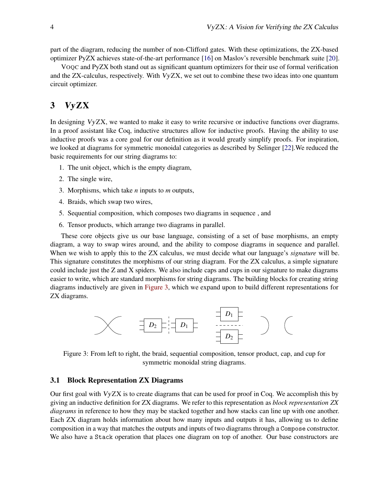part of the diagram, reducing the number of non-Clifford gates. With these optimizations, the ZX-based optimizer PyZX achieves state-of-the-art performance [\[16\]](#page-12-0) on Maslov's reversible benchmark suite [\[20\]](#page-13-7).

VOQC and PyZX both stand out as significant quantum optimizers for their use of formal verification and the ZX-calculus, respectively. With VyZX, we set out to combine these two ideas into one quantum circuit optimizer.

# <span id="page-3-0"></span>3 VyZX

In designing VyZX, we wanted to make it easy to write recursive or inductive functions over diagrams. In a proof assistant like Coq, inductive structures allow for inductive proofs. Having the ability to use inductive proofs was a core goal for our definition as it would greatly simplify proofs. For inspiration, we looked at diagrams for symmetric monoidal categories as described by Selinger [\[22\]](#page-13-8).We reduced the basic requirements for our string diagrams to:

- 1. The unit object, which is the empty diagram,
- 2. The single wire,
- 3. Morphisms, which take *n* inputs to *m* outputs,
- 4. Braids, which swap two wires,
- 5. Sequential composition, which composes two diagrams in sequence , and
- 6. Tensor products, which arrange two diagrams in parallel.

These core objects give us our base language, consisting of a set of base morphisms, an empty diagram, a way to swap wires around, and the ability to compose diagrams in sequence and parallel. When we wish to apply this to the ZX calculus, we must decide what our language's *signature* will be. This signature constitutes the morphisms of our string diagram. For the ZX calculus, a simple signature could include just the Z and X spiders. We also include caps and cups in our signature to make diagrams easier to write, which are standard morphisms for string diagrams. The building blocks for creating string diagrams inductively are given in [Figure 3,](#page-3-1) which we expand upon to build different representations for ZX diagrams.

<span id="page-3-1"></span>

Figure 3: From left to right, the braid, sequential composition, tensor product, cap, and cup for symmetric monoidal string diagrams.

### <span id="page-3-2"></span>3.1 Block Representation ZX Diagrams

Our first goal with VyZX is to create diagrams that can be used for proof in Coq. We accomplish this by giving an inductive definition for ZX diagrams. We refer to this representation as *block representation ZX diagrams* in reference to how they may be stacked together and how stacks can line up with one another. Each ZX diagram holds information about how many inputs and outputs it has, allowing us to define composition in a way that matches the outputs and inputs of two diagrams through a Compose constructor. We also have a Stack operation that places one diagram on top of another. Our base constructors are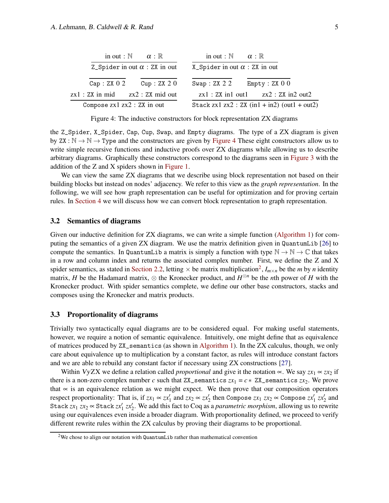<span id="page-4-0"></span>

| in out : $\mathbb N$ $\alpha$ : $\mathbb R$             | in out : $\mathbb{N}$ $\alpha$ : $\mathbb{R}$       |
|---------------------------------------------------------|-----------------------------------------------------|
| Z_Spider in out $\alpha$ : ZX in out                    | X_Spider in out $\alpha$ : ZX in out                |
| Cap:ZXO2<br>Cup: ZX 2 0                                 | Swap: $ZX$ $2$ $2$<br>Empty: ZX 0 0                 |
| zx1 : ZX in mid<br>zx2 : ZX mid out                     | $\text{zx1}:$ ZX in1 out1 $\text{zx2}:$ ZX in2 out2 |
| Compose $z \times 1$ $z \times 2$ : $z \times x$ in out | Stack zx1 zx2 : ZX $(in1 + in2)$ $(out1 + out2)$    |

Figure 4: The inductive constructors for block representation ZX diagrams

the Z\_Spider, X\_Spider, Cap, Cup, Swap, and Empty diagrams. The type of a ZX diagram is given by ZX :  $\mathbb{N} \to \mathbb{N} \to \mathbb{T}$ ype and the constructors are given by [Figure 4](#page-4-0) These eight constructors allow us to write simple recursive functions and inductive proofs over ZX diagrams while allowing us to describe arbitrary diagrams. Graphically these constructors correspond to the diagrams seen in [Figure 3](#page-3-1) with the addition of the Z and X spiders shown in [Figure 1.](#page-2-1)

We can view the same ZX diagrams that we describe using block representation not based on their building blocks but instead on nodes' adjacency. We refer to this view as the *graph representation*. In the following, we will see how graph representation can be useful for optimization and for proving certain rules. In [Section 4](#page-8-0) we will discuss how we can convert block representation to graph representation.

#### 3.2 Semantics of diagrams

Given our inductive definition for ZX diagrams, we can write a simple function [\(Algorithm 1\)](#page-5-1) for computing the semantics of a given ZX diagram. We use the matrix definition given in QuantumLib [\[26\]](#page-13-5) to compute the semantics. In QuantumLib a matrix is simply a function with type  $\mathbb{N} \to \mathbb{N} \to \mathbb{C}$  that takes in a row and column index and returns the associated complex number. First, we define the Z and X spider semantics, as stated in [Section 2.2,](#page-2-3) letting  $\times$  be matrix multiplication<sup>[2](#page-4-1)</sup>,  $I_{m\times n}$  be the *m* by *n* identity matrix, *H* be the Hadamard matrix,  $\otimes$  the Kronecker product, and  $H^{\otimes n}$  be the *n*th power of *H* with the Kronecker product. With spider semantics complete, we define our other base constructors, stacks and composes using the Kronecker and matrix products.

### 3.3 Proportionality of diagrams

Trivially two syntactically equal diagrams are to be considered equal. For making useful statements, however, we require a notion of semantic equivalence. Intuitively, one might define that as equivalence of matrices produced by ZX\_semantics (as shown in [Algorithm 1\)](#page-5-1). In the ZX calculus, though, we only care about equivalence up to multiplication by a constant factor, as rules will introduce constant factors and we are able to rebuild any constant factor if necessary using ZX constructions [\[27\]](#page-13-6).

Within VyZX we define a relation called *proportional* and give it the notation  $\propto$ . We say  $zx_1 \propto zx_2$  if there is a non-zero complex number *c* such that  $ZX$ <sub>-</sub> semantics  $zx_1 = c * ZX$ -semantics  $zx_2$ . We prove that  $\alpha$  is an equivalence relation as we might expect. We then prove that our composition operators respect proportionality: That is, if  $zx_1 \propto zx'_1$  and  $zx_2 \propto zx'_2$  then Compose  $zx_1$   $zx_2 \propto$  Compose  $zx'_1$   $zx'_2$  and Stack  $zx_1$   $zx_2 \propto$  Stack  $zx'_1$   $zx'_2$ . We add this fact to Coq as a *parametric morphism*, allowing us to rewrite using our equivalences even inside a broader diagram. With proportionality defined, we proceed to verify different rewrite rules within the ZX calculus by proving their diagrams to be proportional.

<span id="page-4-1"></span><sup>&</sup>lt;sup>2</sup>We chose to align our notation with  $QuantumLib$  rather than mathematical convention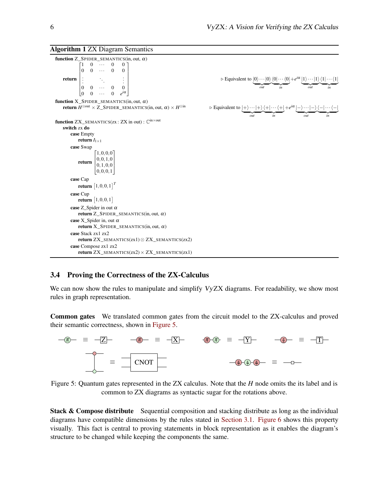<span id="page-5-1"></span>Algorithm 1 ZX Diagram Semantics

function  $Z$ \_SPIDER\_SEMANTICS(in, out,  $\alpha$ ) return  $\begin{bmatrix} 1 & 0 & \cdots & 0 & 0 \end{bmatrix}$  $\begin{array}{c} \hline \end{array}$  $\bigg\}$  $\begin{array}{ccccccccc}\n0 & 0 & \cdots & 0 & 0\n\end{array}$ . . . . . . . . .  $\begin{vmatrix} 0 & 0 & \cdots & 0 & 0 \\ 0 & 0 & \cdots & 0 & e^{i\alpha} \end{vmatrix}$ 0 0 ··· 0 *e i*α 1  $\mathbf{I}$  $\mathbf{I}$  $\mathbf{I}$ Ť  $\mathbf{I}$ function  $X_S$ PIDER\_SEMANTICS(in, out,  $\alpha$ ) **return**  $H^{\otimes out} \times \mathbb{Z}$  \_SPIDER\_SEMANTICS(in, out, α)  $\times$  *H* **function**  $ZX\_SEMANTICS(zx:ZX in out): \mathbb{C}^{in \times out}$ switch zx do case Empty return  $I_{1\times 1}$ case Swap return  $[1,0,0,0]$  $\begin{bmatrix} 0,0,1,0 \\ 0,1,0,0 \end{bmatrix}$  $\left[0,0,1,0\right]$  $\left[0, 1, 0, 0\right]$ case Cap **return**  $[1,0,0,1]^{T}$ case Cup return  $\left[1,0,0,1\right]$ case Z\_Spider in out  $\alpha$ return  $Z$ \_SPIDER\_SEMANTICS(in, out,  $\alpha$ ) case X\_Spider in, out  $\alpha$ return  $X_S$ PIDER\_SEMANTICS(in, out,  $\alpha$ ) case Stack zx1 zx2 return ZX\_SEMANTICS(zx1) ⊗ ZX\_SEMANTICS(zx2) case Compose zx1 zx2 return  $ZX\_SEMANTICS(zx2) \times ZX\_SEMANTICS(zx1)$ 

 $\triangleright$  Equivalent to  $|0\rangle \cdots |0\rangle$  $\overline{\phantom{a}}_{out}$ *out*  $\langle 0| \cdots \langle 0|$  $\overline{\phantom{a}}_{\!}^{i}$ *in* +*e i*α  $|1\rangle\cdots|1\rangle$  $\overline{\phantom{a}}_{out}$ *out*  $\langle 1| \cdots \langle 1|$  $\overline{\phantom{a}}_{in}$ *in* ⊗in ⇒ Equivalent to  $|+\rangle \cdots |+\rangle$  $\overline{\phantom{a}}_{out}$ *out*  $\langle +|\cdots\langle +|$  $\overline{\smash{\big)}_{\smash{\mathit{in}}}}$ *in* +*e i*α |−i···|−i | {z } *out* h−|··· h−|  $\overline{\phantom{a}}_{in}$ *in*

### <span id="page-5-2"></span>3.4 Proving the Correctness of the ZX-Calculus

We can now show the rules to manipulate and simplify VyZX diagrams. For readability, we show most rules in graph representation.

Common gates We translated common gates from the circuit model to the ZX-calculus and proved their semantic correctness, shown in [Figure 5.](#page-5-0)

<span id="page-5-0"></span>

Figure 5: Quantum gates represented in the ZX calculus. Note that the *H* node omits the its label and is common to ZX diagrams as syntactic sugar for the rotations above.

**Stack & Compose distribute** Sequential composition and stacking distribute as long as the individual diagrams have compatible dimensions by the rules stated in [Section 3.1.](#page-3-2) [Figure 6](#page-6-0) shows this property visually. This fact is central to proving statements in block representation as it enables the diagram's structure to be changed while keeping the components the same.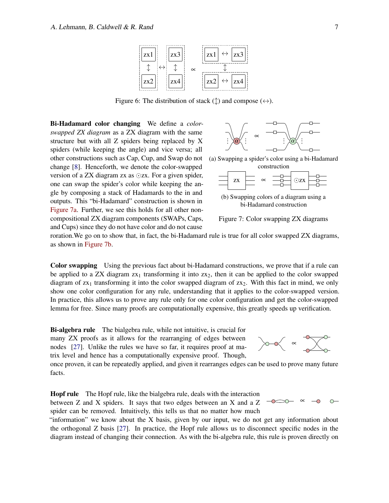<span id="page-6-0"></span>

Figure 6: The distribution of stack  $(\updownarrow)$  and compose  $(\leftrightarrow)$ .

Bi-Hadamard color changing We define a *colorswapped ZX diagram* as a ZX diagram with the same structure but with all Z spiders being replaced by X spiders (while keeping the angle) and vice versa; all other constructions such as Cap, Cup, and Swap do not change [\[8\]](#page-12-4). Henceforth, we denote the color-swapped version of a ZX diagram zx as ⊙zx. For a given spider, one can swap the spider's color while keeping the angle by composing a stack of Hadamards to the in and outputs. This "bi-Hadamard" construction is shown in [Figure 7a.](#page-6-1) Further, we see this holds for all other noncompositional ZX diagram components (SWAPs, Caps, and Cups) since they do not have color and do not cause

<span id="page-6-1"></span>

(a) Swapping a spider's color using a bi-Hadamard



(b) Swapping colors of a diagram using a bi-Hadamard construction



roration.We go on to show that, in fact, the bi-Hadamard rule is true for all color swapped ZX diagrams, as shown in [Figure 7b.](#page-6-1)

Color swapping Using the previous fact about bi-Hadamard constructions, we prove that if a rule can be applied to a ZX diagram  $zx_1$  transforming it into  $zx_2$ , then it can be applied to the color swapped diagram of  $zx_1$  transforming it into the color swapped diagram of  $zx_2$ . With this fact in mind, we only show one color configuration for any rule, understanding that it applies to the color-swapped version. In practice, this allows us to prove any rule only for one color configuration and get the color-swapped lemma for free. Since many proofs are computationally expensive, this greatly speeds up verification.

Bi-algebra rule The bialgebra rule, while not intuitive, is crucial for many ZX proofs as it allows for the rearranging of edges between nodes [\[27\]](#page-13-6). Unlike the rules we have so far, it requires proof at matrix level and hence has a computationally expensive proof. Though,

∝

 $\bigcirc$ 

 $\sim$ 

 $\infty$ 

once proven, it can be repeatedly applied, and given it rearranges edges can be used to prove many future facts.

Hopf rule The Hopf rule, like the bialgebra rule, deals with the interaction between Z and X spiders. It says that two edges between an X and a Z spider can be removed. Intuitively, this tells us that no matter how much

"information" we know about the X basis, given by our input, we do not get any information about the orthogonal Z basis [\[27\]](#page-13-6). In practice, the Hopf rule allows us to disconnect specific nodes in the diagram instead of changing their connection. As with the bi-algebra rule, this rule is proven directly on

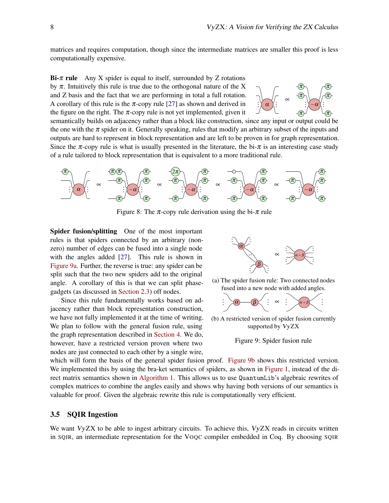matrices and requires computation, though since the intermediate matrices are smaller this proof is less computationally expensive.

**Bi-** $\pi$  **rule** Any X spider is equal to itself, surrounded by Z rotations by  $\pi$ . Intuitively this rule is true due to the orthogonal nature of the X and Z basis and the fact that we are performing in total a full rotation. A corollary of this rule is the  $\pi$ -copy rule [\[27\]](#page-13-6) as shown and derived in the figure on the right. The  $\pi$ -copy rule is not yet implemented, given it



semantically builds on adjacency rather than a block like construction, since any input or output could be the one with the  $\pi$  spider on it. Generally speaking, rules that modify an arbitrary subset of the inputs and outputs are hard to represent in block representation and are left to be proven in for graph representation. Since the  $\pi$ -copy rule is what is usually presented in the literature, the bi- $\pi$  is an interesting case study of a rule tailored to block representation that is equivalent to a more traditional rule.



Figure 8: The  $\pi$ -copy rule derivation using the bi- $\pi$  rule

Spider fusion/splitting One of the most important rules is that spiders connected by an arbitrary (nonzero) number of edges can be fused into a single node with the angles added [\[27\]](#page-13-6). This rule is shown in [Figure 9a.](#page-7-1) Further, the reverse is true: any spider can be split such that the two new spiders add to the original angle. A corollary of this is that we can split phasegadgets (as discussed in [Section 2.3\)](#page-2-4) off nodes.

Since this rule fundamentally works based on adjacency rather than block representation construction, we have not fully implemented it at the time of writing. We plan to follow with the general fusion rule, using the graph representation described in [Section 4.](#page-8-0) We do, however, have a restricted version proven where two nodes are just connected to each other by a single wire,

<span id="page-7-1"></span>

(a) The spider fusion rule: Two connected nodes fused into a new node with added angles.



(b) A restricted version of spider fusion currently supported by VyZX



which will form the basis of the general spider fusion proof. [Figure 9b](#page-7-1) shows this restricted version. We implemented this by using the bra-ket semantics of spiders, as shown in [Figure 1,](#page-2-1) instead of the direct matrix semantics shown in [Algorithm 1.](#page-5-1) This allows us to use QuantumLib's algebraic rewrites of complex matrices to combine the angles easily and shows why having both versions of our semantics is valuable for proof. Given the algebraic rewrite this rule is computationally very efficient.

#### <span id="page-7-0"></span>3.5 SQIR Ingestion

We want VyZX to be able to ingest arbitrary circuits. To achieve this, VyZX reads in circuits written in SQIR, an intermediate representation for the VOQC compiler embedded in Coq. By choosing SQIR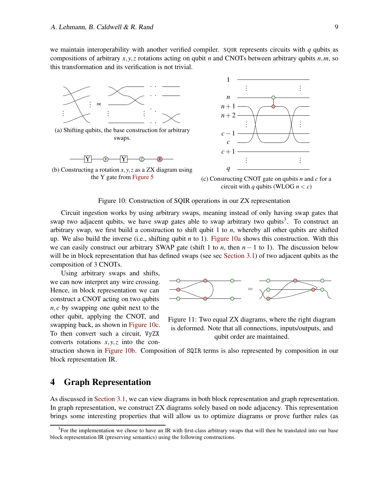we maintain interoperability with another verified compiler. SQIR represents circuits with *q* qubits as compositions of arbitrary  $x, y, z$  rotations acting on qubit *n* and CNOTs between arbitrary qubits  $n, m$ , so this transformation and its verification is not trivial.

<span id="page-8-2"></span>



(c) Constructing CNOT gate on qubits *n* and *c* for a circuit with *q* qubits (WLOG  $n < c$ )

#### Figure 10: Construction of SQIR operations in our ZX representation

Circuit ingestion works by using arbitrary swaps, meaning instead of only having swap gates that swap two adjacent qubits, we have swap gates able to swap arbitrary two qubits<sup>[3](#page-8-1)</sup>. To construct an arbitrary swap, we first build a construction to shift qubit 1 to *n*, whereby all other qubits are shifted up. We also build the inverse (i.e., shifting qubit *n* to 1). [Figure 10a](#page-8-2) shows this construction. With this we can easily construct our arbitrary SWAP gate (shift 1 to *n*, then  $n - 1$  to 1). The discussion below will be in block representation that has defined swaps (see sec [Section 3.1\)](#page-3-2) of two adjacent qubits as the composition of 3 CNOTs.

Using arbitrary swaps and shifts, we can now interpret any wire crossing. Hence, in block representation we can construct a CNOT acting on two qubits *n*,*c* by swapping one qubit next to the other qubit, applying the CNOT, and swapping back, as shown in [Figure 10c.](#page-8-2) To then convert such a circuit, VyZX converts rotations *x*,*y*,*z* into the con-

<span id="page-8-3"></span>

Figure 11: Two equal ZX diagrams, where the right diagram is deformed. Note that all connections, inputs/outputs, and qubit order are maintained.

struction shown in [Figure 10b.](#page-8-2) Composition of SQIR terms is also represented by composition in our block representation IR.

## <span id="page-8-0"></span>4 Graph Representation

As discussed in [Section 3.1,](#page-3-2) we can view diagrams in both block representation and graph representation. In graph representation, we construct ZX diagrams solely based on node adjacency. This representation brings some interesting properties that will allow us to optimize diagrams or prove further rules (as

<span id="page-8-1"></span><sup>&</sup>lt;sup>3</sup>For the implementation we chose to have an IR with first-class arbitrary swaps that will then be translated into our base block representation IR (preserving semantics) using the following constructions.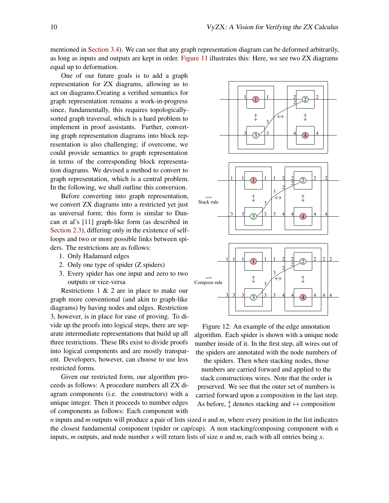mentioned in [Section 3.4\)](#page-5-2). We can see that any graph representation diagram can be deformed arbitrarily, as long as inputs and outputs are kept in order. [Figure 11](#page-8-3) illustrates this: Here, we see two ZX diagrams equal up to deformation.

One of our future goals is to add a graph representation for ZX diagrams, allowing us to act on diagrams.Creating a verified semantics for graph representation remains a work-in-progress since, fundamentally, this requires topologicallysorted graph traversal, which is a hard problem to implement in proof assistants. Further, converting graph representation diagrams into block representation is also challenging; if overcome, we could provide semantics to graph representation in terms of the corresponding block representation diagrams. We devised a method to convert to graph representation, which is a central problem. In the following, we shall outline this conversion.

Before converting into graph representation, we convert ZX diagrams into a restricted yet just as universal form; this form is similar to Duncan et al's [\[11\]](#page-12-14) graph-like form (as described in [Section 2.3\)](#page-2-4), differing only in the existence of selfloops and two or more possible links between spiders. The restrictions are as follows:

- 1. Only Hadamard edges
- 2. Only one type of spider (Z spiders)
- 3. Every spider has one input and zero to two outputs or vice-versa

Restrictions 1 & 2 are in place to make our graph more conventional (and akin to graph-like diagrams) by having nodes and edges. Restriction 3, however, is in place for ease of proving. To divide up the proofs into logical steps, there are separate intermediate representations that build up all three restrictions. These IRs exist to divide proofs into logical components and are mostly transparent. Developers, however, can choose to use less restricted forms.

Given our restricted form, our algorithm proceeds as follows: A procedure numbers all ZX diagram components (i.e. the constructors) with a unique integer. Then it proceeds to number edges of components as follows: Each component with

<span id="page-9-0"></span>

Figure 12: An example of the edge annotation algorithm. Each spider is shown with a unique node number inside of it. In the first step, all wires out of the spiders are annotated with the node numbers of

the spiders. Then when stacking nodes, those numbers are carried forward and applied to the stack constructions wires. Note that the order is preserved. We see that the outer set of numbers is carried forward upon a composition in the last step. As before,  $\uparrow$  denotes stacking and  $\leftrightarrow$  composition

*n* inputs and *m* outputs will produce a pair of lists sized *n* and *m*, where every position in the list indicates the closest fundamental component (spider or cap/cup). A non stacking/composing component with *n* inputs, *m* outputs, and node number *x* will return lists of size *n* and *m*, each with all entries being *x*.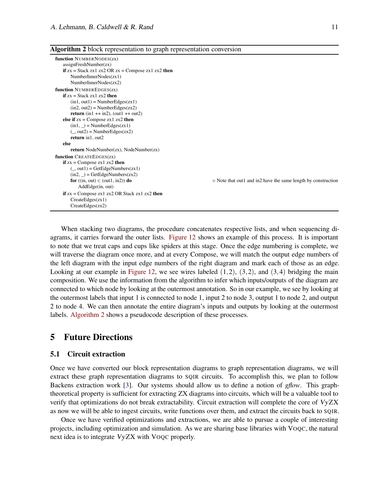#### <span id="page-10-1"></span>Algorithm 2 block representation to graph representation conversion

```
function NUMBERNODES(zx)
   assignFreshNumber(zx)
   if zx = Stack zx1 zx2 OR zx = Compose zx1 zx2 thenNumberInnerNodes(zx1)
      NumberInnerNodes(zx2)
function NUMBEREDGES(zx)
   if zx = Stack zx1 zx2 then
      (in1, out1) = NumberEdges(zx1)(in2, out2) = NumberEdges(zx2)return (in1 + in2), (out1 + out2)else if zx =Compose zx1 zx2 then
      (in1, ...) = NumberEdges(zx1)
      (, out2) = NumberEdges(zx2)
      return in1, out2
   else
      return NodeNumber(zx), NodeNumber(zx)
function CREATEEDGES(zx)
   if zx = Compose zx1 zx2 then
      (, out1) = GetEdgeNumbers(zx1)
      (in2, ...) = GetEdgeNumbers(zx2)
      for ((in, out) ∈ (out1, in2)) do \triangleright Note that out1 and in2 have the same length by construction
         AddEdge(in, out)
   if zx = Compose zx1 zx2 OR Stack zx1 zx2 then
      CreateEdges(zx1)
      CreateEdges(zx2)
```
When stacking two diagrams, the procedure concatenates respective lists, and when sequencing diagrams, it carries forward the outer lists. [Figure 12](#page-9-0) shows an example of this process. It is important to note that we treat caps and cups like spiders at this stage. Once the edge numbering is complete, we will traverse the diagram once more, and at every Compose, we will match the output edge numbers of the left diagram with the input edge numbers of the right diagram and mark each of those as an edge. Looking at our example in [Figure 12,](#page-9-0) we see wires labeled  $(1,2)$ ,  $(3,2)$ , and  $(3,4)$  bridging the main composition. We use the information from the algorithm to infer which inputs/outputs of the diagram are connected to which node by looking at the outermost annotation. So in our example, we see by looking at the outermost labels that input 1 is connected to node 1, input 2 to node 3, output 1 to node 2, and output 2 to node 4. We can then annotate the entire diagram's inputs and outputs by looking at the outermost labels. [Algorithm 2](#page-10-1) shows a pseudocode description of these processes.

## <span id="page-10-0"></span>5 Future Directions

## 5.1 Circuit extraction

Once we have converted our block representation diagrams to graph representation diagrams, we will extract these graph representation diagrams to SQIR circuits. To accomplish this, we plan to follow Backens extraction work [\[3\]](#page-12-16). Our systems should allow us to define a notion of *gflow*. This graphtheoretical property is sufficient for extracting ZX diagrams into circuits, which will be a valuable tool to verify that optimizations do not break extractability. Circuit extraction will complete the core of VyZX as now we will be able to ingest circuits, write functions over them, and extract the circuits back to SQIR.

Once we have verified optimizations and extractions, we are able to pursue a couple of interesting projects, including optimization and simulation. As we are sharing base libraries with VOQC, the natural next idea is to integrate VyZX with VOQC properly.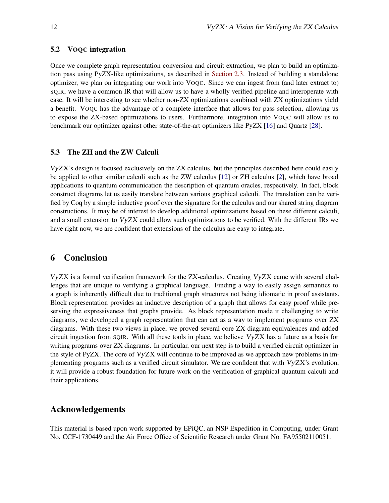## 5.2 VOQC integration

Once we complete graph representation conversion and circuit extraction, we plan to build an optimization pass using PyZX-like optimizations, as described in [Section 2.3.](#page-2-4) Instead of building a standalone optimizer, we plan on integrating our work into VOQC. Since we can ingest from (and later extract to) SQIR, we have a common IR that will allow us to have a wholly verified pipeline and interoperate with ease. It will be interesting to see whether non-ZX optimizations combined with ZX optimizations yield a benefit. VOQC has the advantage of a complete interface that allows for pass selection, allowing us to expose the ZX-based optimizations to users. Furthermore, integration into VOQC will allow us to benchmark our optimizer against other state-of-the-art optimizers like PyZX [\[16\]](#page-12-0) and Quartz [\[28\]](#page-13-9).

### 5.3 The ZH and the ZW Calculi

VyZX's design is focused exclusively on the ZX calculus, but the principles described here could easily be applied to other similar calculi such as the ZW calculus [\[12\]](#page-12-17) or ZH calculus [\[2\]](#page-12-18), which have broad applications to quantum communication the description of quantum oracles, respectively. In fact, block construct diagrams let us easily translate between various graphical calculi. The translation can be verified by Coq by a simple inductive proof over the signature for the calculus and our shared string diagram constructions. It may be of interest to develop additional optimizations based on these different calculi, and a small extension to VyZX could allow such optimizations to be verified. With the different IRs we have right now, we are confident that extensions of the calculus are easy to integrate.

## 6 Conclusion

VyZX is a formal verification framework for the ZX-calculus. Creating VyZX came with several challenges that are unique to verifying a graphical language. Finding a way to easily assign semantics to a graph is inherently difficult due to traditional graph structures not being idiomatic in proof assistants. Block representation provides an inductive description of a graph that allows for easy proof while preserving the expressiveness that graphs provide. As block representation made it challenging to write diagrams, we developed a graph representation that can act as a way to implement programs over ZX diagrams. With these two views in place, we proved several core ZX diagram equivalences and added circuit ingestion from SQIR. With all these tools in place, we believe VyZX has a future as a basis for writing programs over ZX diagrams. In particular, our next step is to build a verified circuit optimizer in the style of PyZX. The core of  $VyzX$  will continue to be improved as we approach new problems in implementing programs such as a verified circuit simulator. We are confident that with VyZX's evolution, it will provide a robust foundation for future work on the verification of graphical quantum calculi and their applications.

## Acknowledgements

This material is based upon work supported by EPiQC, an NSF Expedition in Computing, under Grant No. CCF-1730449 and the Air Force Office of Scientific Research under Grant No. FA95502110051.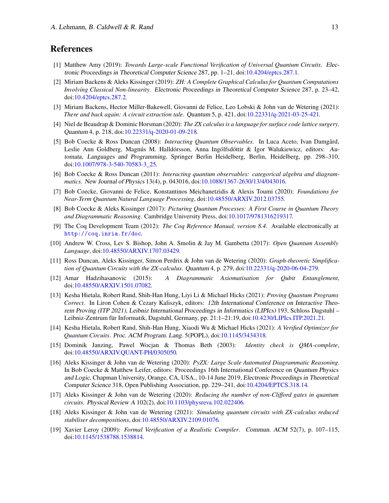## <span id="page-12-1"></span>References

- [1] Matthew Amy (2019): *Towards Large-scale Functional Verification of Universal Quantum Circuits*. Electronic Proceedings in Theoretical Computer Science 287, pp. 1–21, doi[:10.4204/eptcs.287.1.](http://dx.doi.org/10.4204/eptcs.287.1)
- <span id="page-12-18"></span>[2] Miriam Backens & Aleks Kissinger (2019): *ZH: A Complete Graphical Calculus for Quantum Computations Involving Classical Non-linearity*. Electronic Proceedings in Theoretical Computer Science 287, p. 23–42, doi[:10.4204/eptcs.287.2.](http://dx.doi.org/10.4204/eptcs.287.2)
- <span id="page-12-16"></span>[3] Miriam Backens, Hector Miller-Bakewell, Giovanni de Felice, Leo Lobski & John van de Wetering (2021): *There and back again: A circuit extraction tale*. Quantum 5, p. 421, doi[:10.22331/q-2021-03-25-421.](http://dx.doi.org/10.22331/q-2021-03-25-421)
- <span id="page-12-8"></span>[4] Niel de Beaudrap & Dominic Horsman (2020): *The ZX calculus is a language for surface code lattice surgery*. Quantum 4, p. 218, doi[:10.22331/q-2020-01-09-218.](http://dx.doi.org/10.22331/q-2020-01-09-218)
- <span id="page-12-3"></span>[5] Bob Coecke & Ross Duncan (2008): *Interacting Quantum Observables*. In Luca Aceto, Ivan Damgård, Leslie Ann Goldberg, Magnús M. Halldórsson, Anna Ingólfsdóttir & Igor Walukiewicz, editors: Automata, Languages and Programming, Springer Berlin Heidelberg, Berlin, Heidelberg, pp. 298–310, doi[:10.1007/978-3-540-70583-3\\_25.](http://dx.doi.org/10.1007/978-3-540-70583-3_25)
- <span id="page-12-13"></span>[6] Bob Coecke & Ross Duncan (2011): *Interacting quantum observables: categorical algebra and diagrammatics*. New Journal of Physics 13(4), p. 043016, doi[:10.1088/1367-2630/13/4/043016.](http://dx.doi.org/10.1088/1367-2630/13/4/043016)
- <span id="page-12-10"></span>[7] Bob Coecke, Giovanni de Felice, Konstantinos Meichanetzidis & Alexis Toumi (2020): *Foundations for Near-Term Quantum Natural Language Processing*, doi[:10.48550/ARXIV.2012.03755.](http://dx.doi.org/10.48550/ARXIV.2012.03755)
- <span id="page-12-4"></span>[8] Bob Coecke & Aleks Kissinger (2017): *Picturing Quantum Processes: A First Course in Quantum Theory and Diagrammatic Reasoning*. Cambridge University Press, doi[:10.1017/9781316219317.](http://dx.doi.org/10.1017/9781316219317)
- <span id="page-12-7"></span>[9] The Coq Development Team (2012): *The Coq Reference Manual, version 8.4*. Available electronically at <http://coq.inria.fr/doc>.
- <span id="page-12-12"></span>[10] Andrew W. Cross, Lev S. Bishop, John A. Smolin & Jay M. Gambetta (2017): *Open Quantum Assembly Language*, doi[:10.48550/ARXIV.1707.03429.](http://dx.doi.org/10.48550/ARXIV.1707.03429)
- <span id="page-12-14"></span>[11] Ross Duncan, Aleks Kissinger, Simon Perdrix & John van de Wetering (2020): *Graph-theoretic Simplification of Quantum Circuits with the ZX-calculus*. Quantum 4, p. 279, doi[:10.22331/q-2020-06-04-279.](http://dx.doi.org/10.22331/q-2020-06-04-279)
- <span id="page-12-17"></span><span id="page-12-11"></span>[12] Amar Hadzihasanovic (2015): *A Diagrammatic Axiomatisation for Qubit Entanglement*, doi[:10.48550/ARXIV.1501.07082.](http://dx.doi.org/10.48550/ARXIV.1501.07082)
- [13] Kesha Hietala, Robert Rand, Shih-Han Hung, Liyi Li & Michael Hicks (2021): *Proving Quantum Programs Correct*. In Liron Cohen & Cezary Kaliszyk, editors: 12th International Conference on Interactive Theorem Proving (ITP 2021), Leibniz International Proceedings in Informatics (LIPIcs) 193, Schloss Dagstuhl – Leibniz-Zentrum für Informatik, Dagstuhl, Germany, pp. 21:1–21:19, doi[:10.4230/LIPIcs.ITP.2021.21.](http://dx.doi.org/10.4230/LIPIcs.ITP.2021.21)
- <span id="page-12-2"></span>[14] Kesha Hietala, Robert Rand, Shih-Han Hung, Xiaodi Wu & Michael Hicks (2021): *A Verified Optimizer for Quantum Circuits*. Proc. ACM Program. Lang. 5(POPL), doi[:10.1145/3434318.](http://dx.doi.org/10.1145/3434318)
- <span id="page-12-5"></span>[15] Dominik Janzing, Pawel Wocjan & Thomas Beth (2003): *Identity check is QMA-complete*, doi[:10.48550/ARXIV.QUANT-PH/0305050.](http://dx.doi.org/10.48550/ARXIV.QUANT-PH/0305050)
- <span id="page-12-0"></span>[16] Aleks Kissinger & John van de Wetering (2020): *PyZX: Large Scale Automated Diagrammatic Reasoning*. In Bob Coecke & Matthew Leifer, editors: Proceedings 16th International Conference on Quantum Physics and Logic, Chapman University, Orange, CA, USA., 10-14 June 2019, Electronic Proceedings in Theoretical Computer Science 318, Open Publishing Association, pp. 229–241, doi[:10.4204/EPTCS.318.14.](http://dx.doi.org/10.4204/EPTCS.318.14)
- <span id="page-12-15"></span>[17] Aleks Kissinger & John van de Wetering (2020): *Reducing the number of non-Clifford gates in quantum circuits*. Physical Review <sup>A</sup> 102(2), doi[:10.1103/physreva.102.022406.](http://dx.doi.org/10.1103/physreva.102.022406)
- <span id="page-12-9"></span>[18] Aleks Kissinger & John van de Wetering (2021): *Simulating quantum circuits with ZX-calculus reduced stabiliser decompositions*, doi[:10.48550/ARXIV.2109.01076.](http://dx.doi.org/10.48550/ARXIV.2109.01076)
- <span id="page-12-6"></span>[19] Xavier Leroy (2009): *Formal Verification of a Realistic Compiler*. Commun. ACM 52(7), p. 107–115, doi[:10.1145/1538788.1538814.](http://dx.doi.org/10.1145/1538788.1538814)